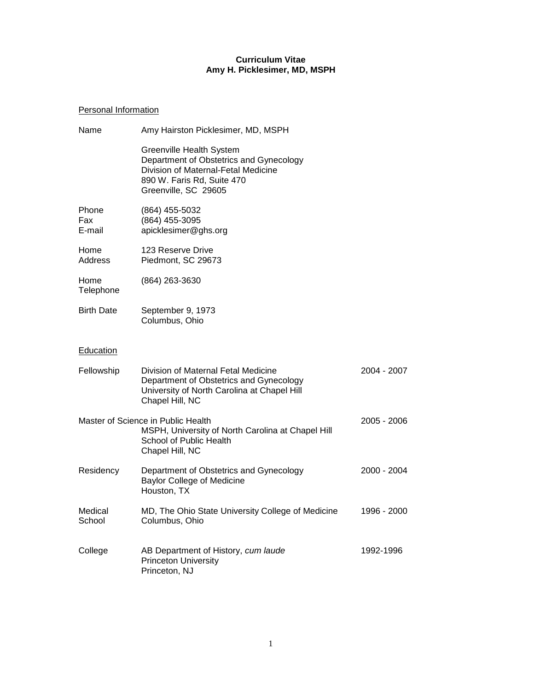## **Curriculum Vitae Amy H. Picklesimer, MD, MSPH**

# Personal Information

| Name                   | Amy Hairston Picklesimer, MD, MSPH                                                                                                                               |             |
|------------------------|------------------------------------------------------------------------------------------------------------------------------------------------------------------|-------------|
|                        | Greenville Health System<br>Department of Obstetrics and Gynecology<br>Division of Maternal-Fetal Medicine<br>890 W. Faris Rd, Suite 470<br>Greenville, SC 29605 |             |
| Phone<br>Fax<br>E-mail | (864) 455-5032<br>(864) 455-3095<br>apicklesimer@ghs.org                                                                                                         |             |
| Home<br>Address        | 123 Reserve Drive<br>Piedmont, SC 29673                                                                                                                          |             |
| Home<br>Telephone      | (864) 263-3630                                                                                                                                                   |             |
| <b>Birth Date</b>      | September 9, 1973<br>Columbus, Ohio                                                                                                                              |             |
| <b>Education</b>       |                                                                                                                                                                  |             |
| Fellowship             | Division of Maternal Fetal Medicine<br>Department of Obstetrics and Gynecology<br>University of North Carolina at Chapel Hill<br>Chapel Hill, NC                 | 2004 - 2007 |
|                        | Master of Science in Public Health<br>MSPH, University of North Carolina at Chapel Hill<br>School of Public Health<br>Chapel Hill, NC                            | 2005 - 2006 |
| Residency              | Department of Obstetrics and Gynecology<br><b>Baylor College of Medicine</b><br>Houston, TX                                                                      | 2000 - 2004 |
| Medical<br>School      | MD, The Ohio State University College of Medicine<br>Columbus, Ohio                                                                                              | 1996 - 2000 |
| College                | AB Department of History, cum laude<br><b>Princeton University</b><br>Princeton, NJ                                                                              | 1992-1996   |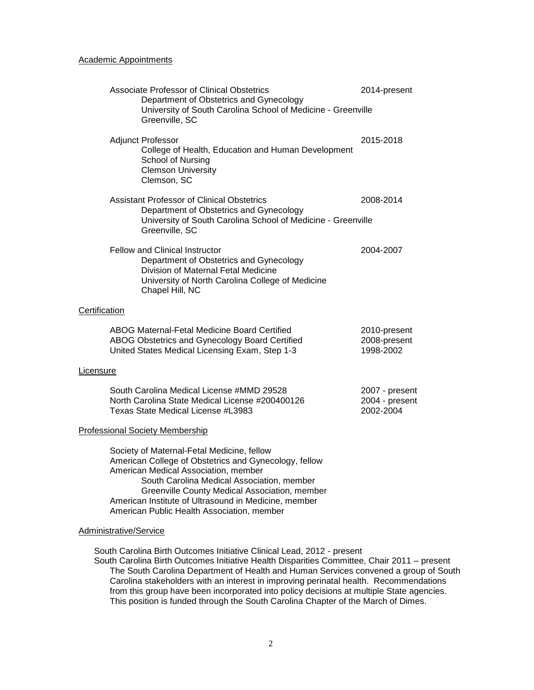### Academic Appointments

|               | Associate Professor of Clinical Obstetrics<br>Department of Obstetrics and Gynecology<br>University of South Carolina School of Medicine - Greenville<br>Greenville, SC                                                                                                                                                                          | 2014-present                                  |
|---------------|--------------------------------------------------------------------------------------------------------------------------------------------------------------------------------------------------------------------------------------------------------------------------------------------------------------------------------------------------|-----------------------------------------------|
|               | <b>Adjunct Professor</b><br>College of Health, Education and Human Development<br>School of Nursing<br><b>Clemson University</b><br>Clemson, SC                                                                                                                                                                                                  | 2015-2018                                     |
|               | <b>Assistant Professor of Clinical Obstetrics</b><br>Department of Obstetrics and Gynecology<br>University of South Carolina School of Medicine - Greenville<br>Greenville, SC                                                                                                                                                                   | 2008-2014                                     |
|               | <b>Fellow and Clinical Instructor</b><br>Department of Obstetrics and Gynecology<br>Division of Maternal Fetal Medicine<br>University of North Carolina College of Medicine<br>Chapel Hill, NC                                                                                                                                                   | 2004-2007                                     |
| Certification |                                                                                                                                                                                                                                                                                                                                                  |                                               |
|               | ABOG Maternal-Fetal Medicine Board Certified<br>ABOG Obstetrics and Gynecology Board Certified<br>United States Medical Licensing Exam, Step 1-3                                                                                                                                                                                                 | 2010-present<br>2008-present<br>1998-2002     |
| Licensure     |                                                                                                                                                                                                                                                                                                                                                  |                                               |
|               | South Carolina Medical License #MMD 29528<br>North Carolina State Medical License #200400126<br>Texas State Medical License #L3983                                                                                                                                                                                                               | 2007 - present<br>2004 - present<br>2002-2004 |
|               | <b>Professional Society Membership</b>                                                                                                                                                                                                                                                                                                           |                                               |
|               | Society of Maternal-Fetal Medicine, fellow<br>American College of Obstetrics and Gynecology, fellow<br>American Medical Association, member<br>South Carolina Medical Association, member<br>Greenville County Medical Association, member<br>American Institute of Ultrasound in Medicine, member<br>American Public Health Association, member |                                               |

## Administrative/Service

South Carolina Birth Outcomes Initiative Clinical Lead, 2012 - present

South Carolina Birth Outcomes Initiative Health Disparities Committee, Chair 2011 – present The South Carolina Department of Health and Human Services convened a group of South Carolina stakeholders with an interest in improving perinatal health. Recommendations from this group have been incorporated into policy decisions at multiple State agencies. This position is funded through the South Carolina Chapter of the March of Dimes.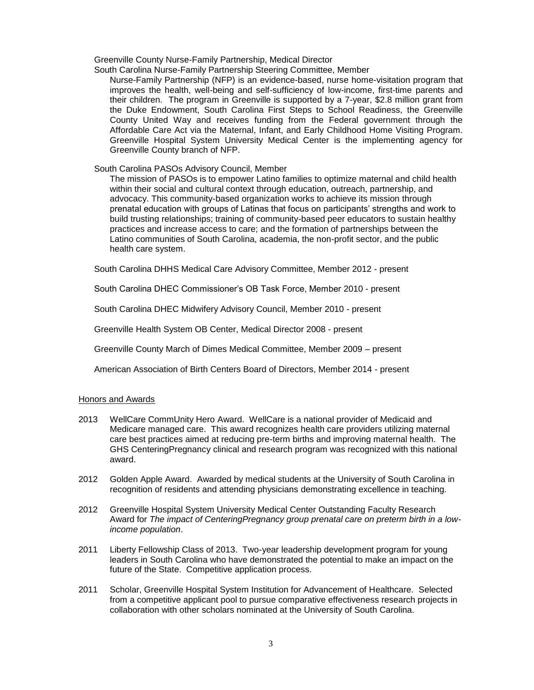Greenville County Nurse-Family Partnership, Medical Director

South Carolina Nurse-Family Partnership Steering Committee, Member

Nurse-Family Partnership (NFP) is an evidence-based, nurse home-visitation program that improves the health, well-being and self-sufficiency of low-income, first-time parents and their children. The program in Greenville is supported by a 7-year, \$2.8 million grant from the Duke Endowment, South Carolina First Steps to School Readiness, the Greenville County United Way and receives funding from the Federal government through the Affordable Care Act via the Maternal, Infant, and Early Childhood Home Visiting Program. Greenville Hospital System University Medical Center is the implementing agency for Greenville County branch of NFP.

South Carolina PASOs Advisory Council, Member

The mission of PASOs is to empower Latino families to optimize maternal and child health within their social and cultural context through education, outreach, partnership, and advocacy. This community-based organization works to achieve its mission through prenatal education with groups of Latinas that focus on participants' strengths and work to build trusting relationships; training of community-based peer educators to sustain healthy practices and increase access to care; and the formation of partnerships between the Latino communities of South Carolina, academia, the non-profit sector, and the public health care system.

South Carolina DHHS Medical Care Advisory Committee, Member 2012 - present

South Carolina DHEC Commissioner's OB Task Force, Member 2010 - present

South Carolina DHEC Midwifery Advisory Council, Member 2010 - present

Greenville Health System OB Center, Medical Director 2008 - present

Greenville County March of Dimes Medical Committee, Member 2009 – present

American Association of Birth Centers Board of Directors, Member 2014 - present

### Honors and Awards

- 2013 WellCare CommUnity Hero Award. WellCare is a national provider of Medicaid and Medicare managed care. This award recognizes health care providers utilizing maternal care best practices aimed at reducing pre-term births and improving maternal health. The GHS CenteringPregnancy clinical and research program was recognized with this national award.
- 2012 Golden Apple Award. Awarded by medical students at the University of South Carolina in recognition of residents and attending physicians demonstrating excellence in teaching.
- 2012 Greenville Hospital System University Medical Center Outstanding Faculty Research Award for *The impact of CenteringPregnancy group prenatal care on preterm birth in a lowincome population*.
- 2011 Liberty Fellowship Class of 2013. Two-year leadership development program for young leaders in South Carolina who have demonstrated the potential to make an impact on the future of the State. Competitive application process.
- 2011 Scholar, Greenville Hospital System Institution for Advancement of Healthcare. Selected from a competitive applicant pool to pursue comparative effectiveness research projects in collaboration with other scholars nominated at the University of South Carolina.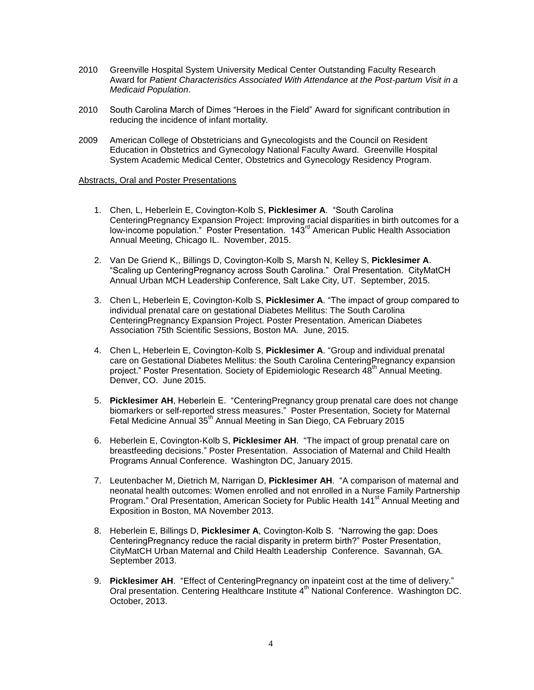- 2010 Greenville Hospital System University Medical Center Outstanding Faculty Research Award for *Patient Characteristics Associated With Attendance at the Post-partum Visit in a Medicaid Population*.
- 2010 South Carolina March of Dimes "Heroes in the Field" Award for significant contribution in reducing the incidence of infant mortality.
- 2009 American College of Obstetricians and Gynecologists and the Council on Resident Education in Obstetrics and Gynecology National Faculty Award. Greenville Hospital System Academic Medical Center, Obstetrics and Gynecology Residency Program.

## Abstracts, Oral and Poster Presentations

- 1. Chen, L, Heberlein E, Covington-Kolb S, **Picklesimer A**. "South Carolina CenteringPregnancy Expansion Project: Improving racial disparities in birth outcomes for a low-income population." Poster Presentation. 143rd American Public Health Association Annual Meeting, Chicago IL. November, 2015.
- 2. Van De Griend K,, Billings D, Covington-Kolb S, Marsh N, Kelley S, **Picklesimer A**. "Scaling up CenteringPregnancy across South Carolina." Oral Presentation. CityMatCH Annual Urban MCH Leadership Conference, Salt Lake City, UT. September, 2015.
- 3. Chen L, Heberlein E, Covington-Kolb S, **Picklesimer A**. "The impact of group compared to individual prenatal care on gestational Diabetes Mellitus: The South Carolina CenteringPregnancy Expansion Project. Poster Presentation. American Diabetes Association 75th Scientific Sessions, Boston MA. June, 2015.
- 4. Chen L, Heberlein E, Covington-Kolb S, **Picklesimer A**. "Group and individual prenatal care on Gestational Diabetes Mellitus: the South Carolina CenteringPregnancy expansion project." Poster Presentation. Society of Epidemiologic Research 48<sup>th</sup> Annual Meeting. Denver, CO. June 2015.
- 5. **Picklesimer AH**, Heberlein E. "CenteringPregnancy group prenatal care does not change biomarkers or self-reported stress measures." Poster Presentation, Society for Maternal Fetal Medicine Annual 35<sup>th</sup> Annual Meeting in San Diego, CA February 2015
- 6. Heberlein E, Covington-Kolb S, **Picklesimer AH**. "The impact of group prenatal care on breastfeeding decisions." Poster Presentation. Association of Maternal and Child Health Programs Annual Conference. Washington DC, January 2015.
- 7. Leutenbacher M, Dietrich M, Narrigan D, **Picklesimer AH**. "A comparison of maternal and neonatal health outcomes: Women enrolled and not enrolled in a Nurse Family Partnership Program." Oral Presentation, American Society for Public Health 141<sup>st</sup> Annual Meeting and Exposition in Boston, MA November 2013.
- 8. Heberlein E, Billings D, **Picklesimer A**, Covington-Kolb S. "Narrowing the gap: Does CenteringPregnancy reduce the racial disparity in preterm birth?" Poster Presentation, CityMatCH Urban Maternal and Child Health Leadership Conference. Savannah, GA. September 2013.
- 9. **Picklesimer AH**. "Effect of CenteringPregnancy on inpateint cost at the time of delivery." Oral presentation. Centering Healthcare Institute 4<sup>th</sup> National Conference. Washington DC. October, 2013.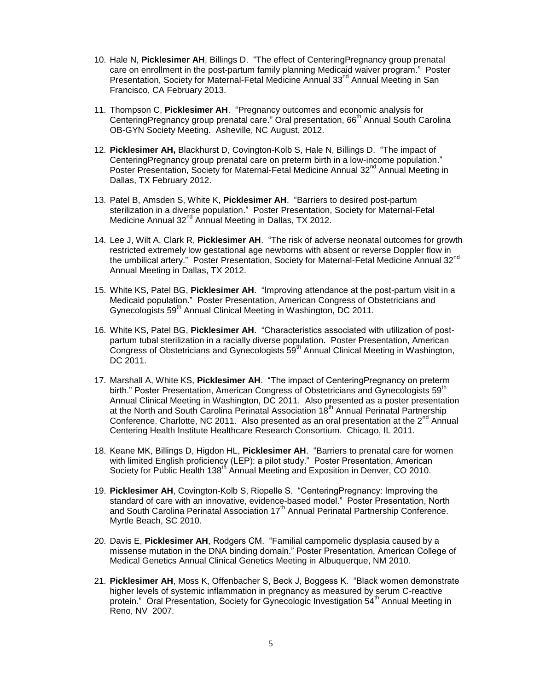- 10. Hale N, **Picklesimer AH**, Billings D. "The effect of CenteringPregnancy group prenatal care on enrollment in the post-partum family planning Medicaid waiver program." Poster Presentation, Society for Maternal-Fetal Medicine Annual 33<sup>nd</sup> Annual Meeting in San Francisco, CA February 2013.
- 11. Thompson C, **Picklesimer AH**. "Pregnancy outcomes and economic analysis for CenteringPregnancy group prenatal care." Oral presentation, 66<sup>th</sup> Annual South Carolina OB-GYN Society Meeting. Asheville, NC August, 2012.
- 12. **Picklesimer AH,** Blackhurst D, Covington-Kolb S, Hale N, Billings D. "The impact of CenteringPregnancy group prenatal care on preterm birth in a low-income population." Poster Presentation, Society for Maternal-Fetal Medicine Annual 32<sup>nd</sup> Annual Meeting in Dallas, TX February 2012.
- 13. Patel B, Amsden S, White K, **Picklesimer AH**. "Barriers to desired post-partum sterilization in a diverse population." Poster Presentation, Society for Maternal-Fetal Medicine Annual 32<sup>nd</sup> Annual Meeting in Dallas, TX 2012.
- 14. Lee J, Wilt A, Clark R, **Picklesimer AH**. "The risk of adverse neonatal outcomes for growth restricted extremely low gestational age newborns with absent or reverse Doppler flow in the umbilical artery." Poster Presentation, Society for Maternal-Fetal Medicine Annual 32nd Annual Meeting in Dallas, TX 2012.
- 15. White KS, Patel BG, **Picklesimer AH**. "Improving attendance at the post-partum visit in a Medicaid population." Poster Presentation, American Congress of Obstetricians and Gynecologists 59<sup>th</sup> Annual Clinical Meeting in Washington, DC 2011.
- 16. White KS, Patel BG, **Picklesimer AH**. "Characteristics associated with utilization of postpartum tubal sterilization in a racially diverse population. Poster Presentation, American Congress of Obstetricians and Gynecologists  $59<sup>th</sup>$  Annual Clinical Meeting in Washington, DC 2011.
- 17. Marshall A, White KS, **Picklesimer AH**. "The impact of CenteringPregnancy on preterm birth." Poster Presentation, American Congress of Obstetricians and Gynecologists 59<sup>th</sup> Annual Clinical Meeting in Washington, DC 2011. Also presented as a poster presentation at the North and South Carolina Perinatal Association 18<sup>th</sup> Annual Perinatal Partnership Conference. Charlotte, NC 2011. Also presented as an oral presentation at the  $2^{nd}$  Annual Centering Health Institute Healthcare Research Consortium. Chicago, IL 2011.
- 18. Keane MK, Billings D, Higdon HL, **Picklesimer AH**. "Barriers to prenatal care for women with limited English proficiency (LEP): a pilot study." Poster Presentation, American Society for Public Health 138<sup>th</sup> Annual Meeting and Exposition in Denver, CO 2010.
- 19. **Picklesimer AH**, Covington-Kolb S, Riopelle S. "CenteringPregnancy: Improving the standard of care with an innovative, evidence-based model." Poster Presentation, North and South Carolina Perinatal Association 17<sup>th</sup> Annual Perinatal Partnership Conference. Myrtle Beach, SC 2010.
- 20. Davis E, **Picklesimer AH**, Rodgers CM. "Familial campomelic dysplasia caused by a missense mutation in the DNA binding domain." Poster Presentation, American College of Medical Genetics Annual Clinical Genetics Meeting in Albuquerque, NM 2010.
- 21. **Picklesimer AH**, Moss K, Offenbacher S, Beck J, Boggess K. "Black women demonstrate higher levels of systemic inflammation in pregnancy as measured by serum C-reactive protein." Oral Presentation, Society for Gynecologic Investigation 54<sup>th</sup> Annual Meeting in Reno, NV 2007.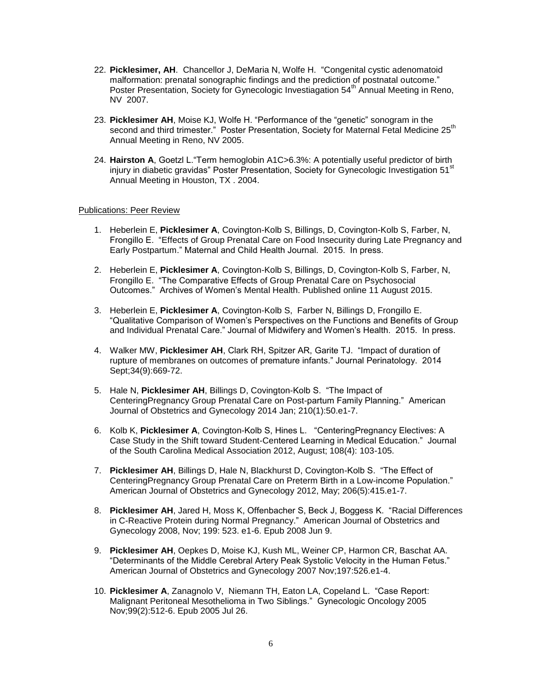- 22. **Picklesimer, AH**. Chancellor J, DeMaria N, Wolfe H. "Congenital cystic adenomatoid malformation: prenatal sonographic findings and the prediction of postnatal outcome." Poster Presentation, Society for Gynecologic Investiagation 54<sup>th</sup> Annual Meeting in Reno, NV 2007.
- 23. **Picklesimer AH**, Moise KJ, Wolfe H. "Performance of the "genetic" sonogram in the second and third trimester." Poster Presentation, Society for Maternal Fetal Medicine 25<sup>th</sup> Annual Meeting in Reno, NV 2005.
- 24. **Hairston A**, Goetzl L."Term hemoglobin A1C>6.3%: A potentially useful predictor of birth injury in diabetic gravidas" Poster Presentation, Society for Gynecologic Investigation 51<sup>st</sup> Annual Meeting in Houston, TX . 2004.

## Publications: Peer Review

- 1. Heberlein E, **Picklesimer A**, Covington-Kolb S, Billings, D, Covington-Kolb S, Farber, N, Frongillo E. "Effects of Group Prenatal Care on Food Insecurity during Late Pregnancy and Early Postpartum." Maternal and Child Health Journal. 2015. In press.
- 2. Heberlein E, **Picklesimer A**, Covington-Kolb S, Billings, D, Covington-Kolb S, Farber, N, Frongillo E. "The Comparative Effects of Group Prenatal Care on Psychosocial Outcomes." Archives of Women's Mental Health. Published online 11 August 2015.
- 3. Heberlein E, **Picklesimer A**, Covington-Kolb S, Farber N, Billings D, Frongillo E. "Qualitative Comparison of Women's Perspectives on the Functions and Benefits of Group and Individual Prenatal Care." Journal of Midwifery and Women's Health. 2015. In press.
- 4. Walker MW, **Picklesimer AH**, Clark RH, Spitzer AR, Garite TJ. "Impact of duration of rupture of membranes on outcomes of premature infants." Journal Perinatology. 2014 Sept;34(9):669-72.
- 5. Hale N, **Picklesimer AH**, Billings D, Covington-Kolb S. "The Impact of CenteringPregnancy Group Prenatal Care on Post-partum Family Planning." American Journal of Obstetrics and Gynecology 2014 Jan; 210(1):50.e1-7.
- 6. Kolb K, **Picklesimer A**, Covington-Kolb S, Hines L. "CenteringPregnancy Electives: A Case Study in the Shift toward Student-Centered Learning in Medical Education." Journal of the South Carolina Medical Association 2012, August; 108(4): 103-105.
- 7. **Picklesimer AH**, Billings D, Hale N, Blackhurst D, Covington-Kolb S. "The Effect of CenteringPregnancy Group Prenatal Care on Preterm Birth in a Low-income Population." American Journal of Obstetrics and Gynecology 2012, May; 206(5):415.e1-7.
- 8. **Picklesimer AH**, Jared H, Moss K, Offenbacher S, Beck J, Boggess K. "Racial Differences in C-Reactive Protein during Normal Pregnancy." American Journal of Obstetrics and Gynecology 2008, Nov; 199: 523. e1-6. Epub 2008 Jun 9.
- 9. **Picklesimer AH**, Oepkes D, Moise KJ, Kush ML, Weiner CP, Harmon CR, Baschat AA. "Determinants of the Middle Cerebral Artery Peak Systolic Velocity in the Human Fetus." American Journal of Obstetrics and Gynecology 2007 Nov;197:526.e1-4.
- 10. **Picklesimer A**, Zanagnolo V, Niemann TH, Eaton LA, Copeland L. "Case Report: Malignant Peritoneal Mesothelioma in Two Siblings." Gynecologic Oncology 2005 Nov;99(2):512-6. Epub 2005 Jul 26.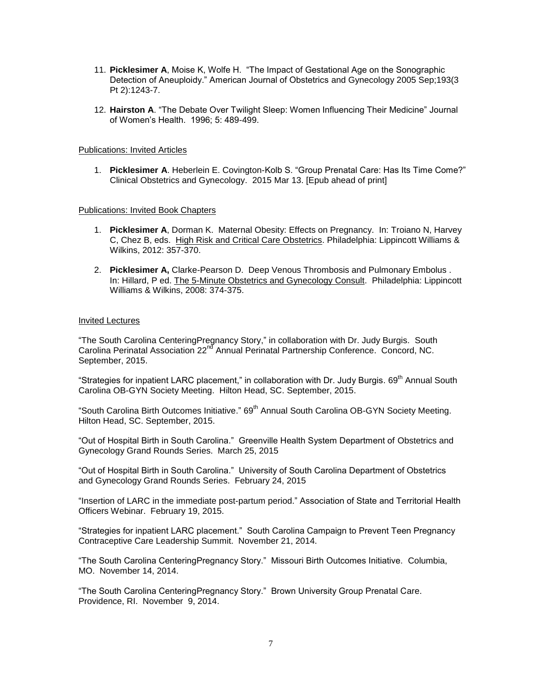- 11. **Picklesimer A**, Moise K, Wolfe H. "The Impact of Gestational Age on the Sonographic Detection of Aneuploidy." American Journal of Obstetrics and Gynecology 2005 Sep;193(3 Pt 2):1243-7.
- 12. **Hairston A**. "The Debate Over Twilight Sleep: Women Influencing Their Medicine" Journal of Women's Health. 1996; 5: 489-499.

#### Publications: Invited Articles

1. **Picklesimer A**. Heberlein E. Covington-Kolb S. "Group Prenatal Care: Has Its Time Come?" Clinical Obstetrics and Gynecology. 2015 Mar 13. [Epub ahead of print]

#### Publications: Invited Book Chapters

- 1. **Picklesimer A**, Dorman K. Maternal Obesity: Effects on Pregnancy. In: Troiano N, Harvey C, Chez B, eds. High Risk and Critical Care Obstetrics. Philadelphia: Lippincott Williams & Wilkins, 2012: 357-370.
- 2. **Picklesimer A,** Clarke-Pearson D. Deep Venous Thrombosis and Pulmonary Embolus . In: Hillard, P ed. The 5-Minute Obstetrics and Gynecology Consult. Philadelphia: Lippincott Williams & Wilkins, 2008: 374-375.

#### Invited Lectures

"The South Carolina CenteringPregnancy Story," in collaboration with Dr. Judy Burgis. South Carolina Perinatal Association 22<sup>nd</sup> Annual Perinatal Partnership Conference. Concord, NC. September, 2015.

"Strategies for inpatient LARC placement," in collaboration with Dr. Judy Burgis. 69<sup>th</sup> Annual South Carolina OB-GYN Society Meeting. Hilton Head, SC. September, 2015.

"South Carolina Birth Outcomes Initiative." 69<sup>th</sup> Annual South Carolina OB-GYN Society Meeting. Hilton Head, SC. September, 2015.

"Out of Hospital Birth in South Carolina." Greenville Health System Department of Obstetrics and Gynecology Grand Rounds Series. March 25, 2015

"Out of Hospital Birth in South Carolina." University of South Carolina Department of Obstetrics and Gynecology Grand Rounds Series. February 24, 2015

"Insertion of LARC in the immediate post-partum period." Association of State and Territorial Health Officers Webinar. February 19, 2015.

"Strategies for inpatient LARC placement." South Carolina Campaign to Prevent Teen Pregnancy Contraceptive Care Leadership Summit. November 21, 2014.

"The South Carolina CenteringPregnancy Story." Missouri Birth Outcomes Initiative. Columbia, MO. November 14, 2014.

"The South Carolina CenteringPregnancy Story." Brown University Group Prenatal Care. Providence, RI. November 9, 2014.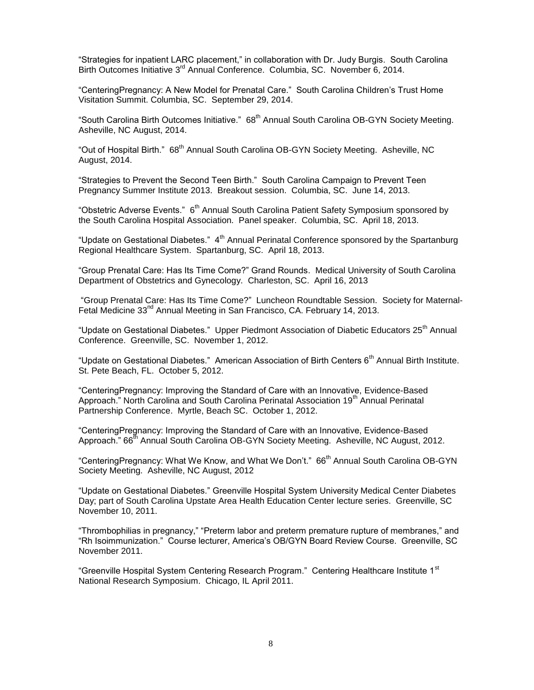"Strategies for inpatient LARC placement," in collaboration with Dr. Judy Burgis. South Carolina Birth Outcomes Initiative 3<sup>rd</sup> Annual Conference. Columbia, SC. November 6, 2014.

"CenteringPregnancy: A New Model for Prenatal Care." South Carolina Children's Trust Home Visitation Summit. Columbia, SC. September 29, 2014.

"South Carolina Birth Outcomes Initiative." 68<sup>th</sup> Annual South Carolina OB-GYN Society Meeting. Asheville, NC August, 2014.

"Out of Hospital Birth." 68<sup>th</sup> Annual South Carolina OB-GYN Society Meeting. Asheville, NC August, 2014.

"Strategies to Prevent the Second Teen Birth." South Carolina Campaign to Prevent Teen Pregnancy Summer Institute 2013. Breakout session. Columbia, SC. June 14, 2013.

"Obstetric Adverse Events." 6<sup>th</sup> Annual South Carolina Patient Safety Symposium sponsored by the South Carolina Hospital Association. Panel speaker. Columbia, SC. April 18, 2013.

"Update on Gestational Diabetes."  $4<sup>th</sup>$  Annual Perinatal Conference sponsored by the Spartanburg Regional Healthcare System. Spartanburg, SC. April 18, 2013.

"Group Prenatal Care: Has Its Time Come?" Grand Rounds. Medical University of South Carolina Department of Obstetrics and Gynecology. Charleston, SC. April 16, 2013

"Group Prenatal Care: Has Its Time Come?" Luncheon Roundtable Session. Society for Maternal-Fetal Medicine 33<sup>nd</sup> Annual Meeting in San Francisco, CA. February 14, 2013.

"Update on Gestational Diabetes." Upper Piedmont Association of Diabetic Educators 25<sup>th</sup> Annual Conference. Greenville, SC. November 1, 2012.

"Update on Gestational Diabetes." American Association of Birth Centers 6<sup>th</sup> Annual Birth Institute. St. Pete Beach, FL. October 5, 2012.

"CenteringPregnancy: Improving the Standard of Care with an Innovative, Evidence-Based Approach." North Carolina and South Carolina Perinatal Association 19<sup>th</sup> Annual Perinatal Partnership Conference. Myrtle, Beach SC. October 1, 2012.

"CenteringPregnancy: Improving the Standard of Care with an Innovative, Evidence-Based Approach." 66<sup>th</sup> Annual South Carolina OB-GYN Society Meeting. Asheville, NC August, 2012.

"CenteringPregnancy: What We Know, and What We Don't." 66<sup>th</sup> Annual South Carolina OB-GYN Society Meeting. Asheville, NC August, 2012

"Update on Gestational Diabetes." Greenville Hospital System University Medical Center Diabetes Day; part of South Carolina Upstate Area Health Education Center lecture series. Greenville, SC November 10, 2011.

"Thrombophilias in pregnancy," "Preterm labor and preterm premature rupture of membranes," and "Rh Isoimmunization." Course lecturer, America's OB/GYN Board Review Course. Greenville, SC November 2011.

"Greenville Hospital System Centering Research Program." Centering Healthcare Institute 1<sup>st</sup> National Research Symposium. Chicago, IL April 2011.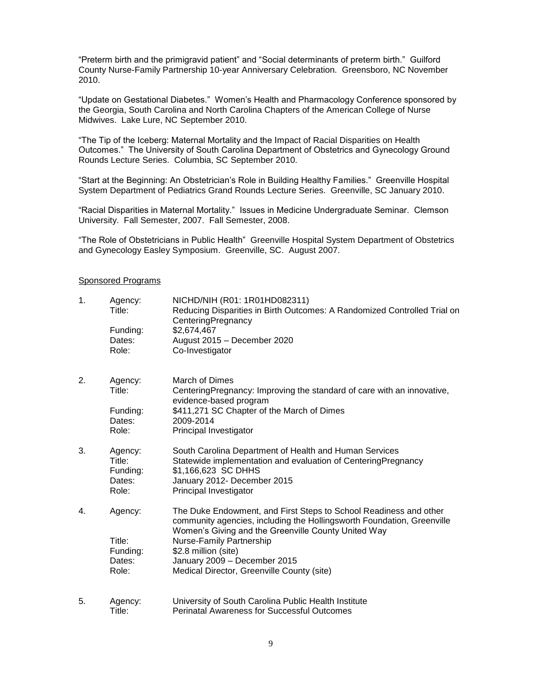"Preterm birth and the primigravid patient" and "Social determinants of preterm birth." Guilford County Nurse-Family Partnership 10-year Anniversary Celebration. Greensboro, NC November 2010.

"Update on Gestational Diabetes." Women's Health and Pharmacology Conference sponsored by the Georgia, South Carolina and North Carolina Chapters of the American College of Nurse Midwives. Lake Lure, NC September 2010.

"The Tip of the Iceberg: Maternal Mortality and the Impact of Racial Disparities on Health Outcomes." The University of South Carolina Department of Obstetrics and Gynecology Ground Rounds Lecture Series. Columbia, SC September 2010.

"Start at the Beginning: An Obstetrician's Role in Building Healthy Families." Greenville Hospital System Department of Pediatrics Grand Rounds Lecture Series. Greenville, SC January 2010.

"Racial Disparities in Maternal Mortality." Issues in Medicine Undergraduate Seminar. Clemson University. Fall Semester, 2007. Fall Semester, 2008.

"The Role of Obstetricians in Public Health" Greenville Hospital System Department of Obstetrics and Gynecology Easley Symposium. Greenville, SC. August 2007.

## Sponsored Programs

| 1. | Agency:<br>Title:  | NICHD/NIH (R01: 1R01HD082311)<br>Reducing Disparities in Birth Outcomes: A Randomized Controlled Trial on<br>CenteringPregnancy                                                                    |
|----|--------------------|----------------------------------------------------------------------------------------------------------------------------------------------------------------------------------------------------|
|    | Funding:           | \$2,674,467                                                                                                                                                                                        |
|    | Dates:             | August 2015 - December 2020                                                                                                                                                                        |
|    | Role:              | Co-Investigator                                                                                                                                                                                    |
| 2. | Agency:            | March of Dimes                                                                                                                                                                                     |
|    | Title:             | Centering Pregnancy: Improving the standard of care with an innovative,<br>evidence-based program                                                                                                  |
|    | Funding:           | \$411,271 SC Chapter of the March of Dimes                                                                                                                                                         |
|    | Dates:             | 2009-2014                                                                                                                                                                                          |
|    | Role:              | Principal Investigator                                                                                                                                                                             |
| 3. | Agency:            | South Carolina Department of Health and Human Services                                                                                                                                             |
|    | Title:             | Statewide implementation and evaluation of CenteringPregnancy                                                                                                                                      |
|    | Funding:<br>Dates: | \$1,166,623 SC DHHS<br>January 2012- December 2015                                                                                                                                                 |
|    | Role:              | Principal Investigator                                                                                                                                                                             |
| 4. | Agency:            | The Duke Endowment, and First Steps to School Readiness and other<br>community agencies, including the Hollingsworth Foundation, Greenville<br>Women's Giving and the Greenville County United Way |
|    | Title:             | Nurse-Family Partnership                                                                                                                                                                           |
|    | Funding:           | \$2.8 million (site)                                                                                                                                                                               |
|    | Dates:             | January 2009 - December 2015                                                                                                                                                                       |
|    | Role:              | Medical Director, Greenville County (site)                                                                                                                                                         |
| 5. | Agency:            | University of South Carolina Public Health Institute                                                                                                                                               |
|    | Title:             | <b>Perinatal Awareness for Successful Outcomes</b>                                                                                                                                                 |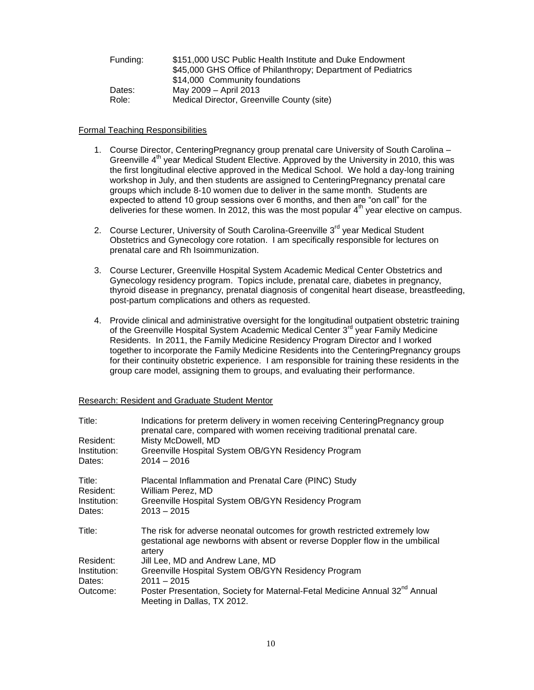| Funding: | \$151,000 USC Public Health Institute and Duke Endowment      |
|----------|---------------------------------------------------------------|
|          | \$45,000 GHS Office of Philanthropy; Department of Pediatrics |
|          | \$14,000 Community foundations                                |
| Dates:   | May 2009 - April 2013                                         |
| Role:    | Medical Director, Greenville County (site)                    |

## Formal Teaching Responsibilities

- 1. Course Director, CenteringPregnancy group prenatal care University of South Carolina Greenville 4<sup>th</sup> year Medical Student Elective. Approved by the University in 2010, this was the first longitudinal elective approved in the Medical School. We hold a day-long training workshop in July, and then students are assigned to CenteringPregnancy prenatal care groups which include 8-10 women due to deliver in the same month. Students are expected to attend 10 group sessions over 6 months, and then are "on call" for the deliveries for these women. In 2012, this was the most popular  $4<sup>th</sup>$  year elective on campus.
- 2. Course Lecturer, University of South Carolina-Greenville 3<sup>rd</sup> year Medical Student Obstetrics and Gynecology core rotation. I am specifically responsible for lectures on prenatal care and Rh Isoimmunization.
- 3. Course Lecturer, Greenville Hospital System Academic Medical Center Obstetrics and Gynecology residency program. Topics include, prenatal care, diabetes in pregnancy, thyroid disease in pregnancy, prenatal diagnosis of congenital heart disease, breastfeeding, post-partum complications and others as requested.
- 4. Provide clinical and administrative oversight for the longitudinal outpatient obstetric training of the Greenville Hospital System Academic Medical Center 3<sup>rd</sup> year Family Medicine Residents. In 2011, the Family Medicine Residency Program Director and I worked together to incorporate the Family Medicine Residents into the CenteringPregnancy groups for their continuity obstetric experience. I am responsible for training these residents in the group care model, assigning them to groups, and evaluating their performance.

| Title:<br>Resident:<br>Institution:<br>Dates: | Indications for preterm delivery in women receiving Centering Pregnancy group<br>prenatal care, compared with women receiving traditional prenatal care.<br>Misty McDowell, MD<br>Greenville Hospital System OB/GYN Residency Program<br>$2014 - 2016$ |
|-----------------------------------------------|--------------------------------------------------------------------------------------------------------------------------------------------------------------------------------------------------------------------------------------------------------|
| Title:<br>Resident:                           | Placental Inflammation and Prenatal Care (PINC) Study<br>William Perez, MD                                                                                                                                                                             |
| Institution:<br>Dates:                        | Greenville Hospital System OB/GYN Residency Program<br>$2013 - 2015$                                                                                                                                                                                   |
| Title:                                        | The risk for adverse neonatal outcomes for growth restricted extremely low<br>gestational age newborns with absent or reverse Doppler flow in the umbilical<br>artery                                                                                  |
| Resident:                                     | Jill Lee, MD and Andrew Lane, MD                                                                                                                                                                                                                       |
| Institution:<br>Dates:                        | Greenville Hospital System OB/GYN Residency Program<br>$2011 - 2015$                                                                                                                                                                                   |
| Outcome:                                      | Poster Presentation, Society for Maternal-Fetal Medicine Annual 32 <sup>nd</sup> Annual<br>Meeting in Dallas, TX 2012.                                                                                                                                 |

#### Research: Resident and Graduate Student Mentor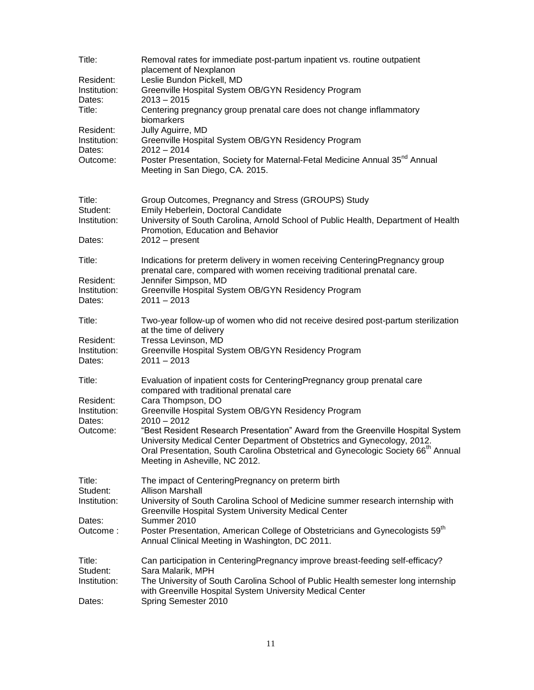| Title:                                          | Removal rates for immediate post-partum inpatient vs. routine outpatient<br>placement of Nexplanon                                                                                                                                                                                             |
|-------------------------------------------------|------------------------------------------------------------------------------------------------------------------------------------------------------------------------------------------------------------------------------------------------------------------------------------------------|
| Resident:<br>Institution:<br>Dates:             | Leslie Bundon Pickell, MD<br>Greenville Hospital System OB/GYN Residency Program<br>$2013 - 2015$                                                                                                                                                                                              |
| Title:                                          | Centering pregnancy group prenatal care does not change inflammatory<br>biomarkers                                                                                                                                                                                                             |
| Resident:<br>Institution:<br>Dates:<br>Outcome: | Jully Aguirre, MD<br>Greenville Hospital System OB/GYN Residency Program<br>$2012 - 2014$<br>Poster Presentation, Society for Maternal-Fetal Medicine Annual 35 <sup>nd</sup> Annual<br>Meeting in San Diego, CA. 2015.                                                                        |
| Title:<br>Student:<br>Institution:<br>Dates:    | Group Outcomes, Pregnancy and Stress (GROUPS) Study<br>Emily Heberlein, Doctoral Candidate<br>University of South Carolina, Arnold School of Public Health, Department of Health<br>Promotion, Education and Behavior<br>$2012 - present$                                                      |
| Title:                                          | Indications for preterm delivery in women receiving CenteringPregnancy group<br>prenatal care, compared with women receiving traditional prenatal care.                                                                                                                                        |
| Resident:<br>Institution:<br>Dates:             | Jennifer Simpson, MD<br>Greenville Hospital System OB/GYN Residency Program<br>$2011 - 2013$                                                                                                                                                                                                   |
| Title:                                          | Two-year follow-up of women who did not receive desired post-partum sterilization<br>at the time of delivery                                                                                                                                                                                   |
| Resident:<br>Institution:<br>Dates:             | Tressa Levinson, MD<br>Greenville Hospital System OB/GYN Residency Program<br>$2011 - 2013$                                                                                                                                                                                                    |
| Title:                                          | Evaluation of inpatient costs for CenteringPregnancy group prenatal care<br>compared with traditional prenatal care                                                                                                                                                                            |
| Resident:<br>Institution:<br>Dates:             | Cara Thompson, DO<br>Greenville Hospital System OB/GYN Residency Program<br>$2010 - 2012$                                                                                                                                                                                                      |
| Outcome:                                        | "Best Resident Research Presentation" Award from the Greenville Hospital System<br>University Medical Center Department of Obstetrics and Gynecology, 2012.<br>Oral Presentation, South Carolina Obstetrical and Gynecologic Society 66 <sup>th</sup> Annual<br>Meeting in Asheville, NC 2012. |
| Title:<br>Student:                              | The impact of CenteringPregnancy on preterm birth<br><b>Allison Marshall</b>                                                                                                                                                                                                                   |
| Institution:                                    | University of South Carolina School of Medicine summer research internship with<br>Greenville Hospital System University Medical Center                                                                                                                                                        |
| Dates:<br>Outcome:                              | Summer 2010<br>Poster Presentation, American College of Obstetricians and Gynecologists 59 <sup>th</sup><br>Annual Clinical Meeting in Washington, DC 2011.                                                                                                                                    |
| Title:<br>Student:<br>Institution:<br>Dates:    | Can participation in CenteringPregnancy improve breast-feeding self-efficacy?<br>Sara Malarik, MPH<br>The University of South Carolina School of Public Health semester long internship<br>with Greenville Hospital System University Medical Center<br>Spring Semester 2010                   |